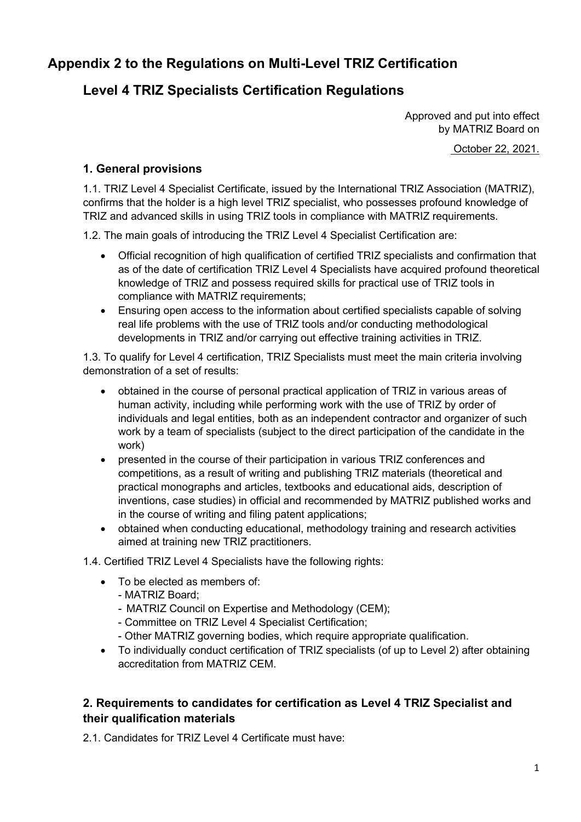# **Appendix 2 to the Regulations on Multi-Level TRIZ Certification**

# **Level 4 TRIZ Specialists Certification Regulations**

Approved and put into effect by MATRIZ Board on October 22, 2021.

#### **1. General provisions**

1.1. TRIZ Level 4 Specialist Certificate, issued by the International TRIZ Association (MATRIZ), confirms that the holder is a high level TRIZ specialist, who possesses profound knowledge of TRIZ and advanced skills in using TRIZ tools in compliance with MATRIZ requirements.

1.2. The main goals of introducing the TRIZ Level 4 Specialist Certification are:

- Official recognition of high qualification of certified TRIZ specialists and confirmation that as of the date of certification TRIZ Level 4 Specialists have acquired profound theoretical knowledge of TRIZ and possess required skills for practical use of TRIZ tools in compliance with MATRIZ requirements;
- Ensuring open access to the information about certified specialists capable of solving real life problems with the use of TRIZ tools and/or conducting methodological developments in TRIZ and/or carrying out effective training activities in TRIZ.

1.3. To qualify for Level 4 certification, TRIZ Specialists must meet the main criteria involving demonstration of a set of results:

- obtained in the course of personal practical application of TRIZ in various areas of human activity, including while performing work with the use of TRIZ by order of individuals and legal entities, both as an independent contractor and organizer of such work by a team of specialists (subject to the direct participation of the candidate in the work)
- presented in the course of their participation in various TRIZ conferences and competitions, as a result of writing and publishing TRIZ materials (theoretical and practical monographs and articles, textbooks and educational aids, description of inventions, case studies) in official and recommended by MATRIZ published works and in the course of writing and filing patent applications;
- obtained when conducting educational, methodology training and research activities aimed at training new TRIZ practitioners.
- 1.4. Certified TRIZ Level 4 Specialists have the following rights:
	- To be elected as members of:
		- MATRIZ Board;
		- MATRIZ Council on Expertise and Methodology (CEM);
		- Committee on TRIZ Level 4 Specialist Certification;
		- Other MATRIZ governing bodies, which require appropriate qualification.
	- To individually conduct certification of TRIZ specialists (of up to Level 2) after obtaining accreditation from MATRIZ CEM.

### **2. Requirements to candidates for certification as Level 4 TRIZ Specialist and their qualification materials**

2.1. Candidates for TRIZ Level 4 Certificate must have: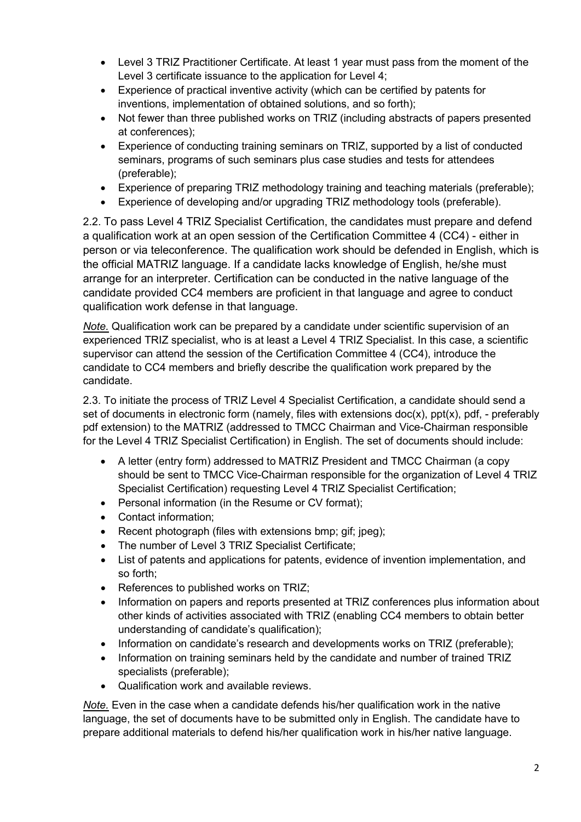- Level 3 TRIZ Practitioner Certificate. At least 1 year must pass from the moment of the Level 3 certificate issuance to the application for Level 4;
- Experience of practical inventive activity (which can be certified by patents for inventions, implementation of obtained solutions, and so forth);
- Not fewer than three published works on TRIZ (including abstracts of papers presented at conferences);
- Experience of conducting training seminars on TRIZ, supported by a list of conducted seminars, programs of such seminars plus case studies and tests for attendees (preferable);
- Experience of preparing TRIZ methodology training and teaching materials (preferable);
- Experience of developing and/or upgrading TRIZ methodology tools (preferable).

2.2. To pass Level 4 TRIZ Specialist Certification, the candidates must prepare and defend a qualification work at an open session of the Certification Committee 4 (CC4) - either in person or via teleconference. The qualification work should be defended in English, which is the official MATRIZ language. If a candidate lacks knowledge of English, he/she must arrange for an interpreter. Certification can be conducted in the native language of the candidate provided CC4 members are proficient in that language and agree to conduct qualification work defense in that language.

*Note.* Qualification work can be prepared by a candidate under scientific supervision of an experienced TRIZ specialist, who is at least a Level 4 TRIZ Specialist. In this case, a scientific supervisor can attend the session of the Certification Committee 4 (CC4), introduce the candidate to CC4 members and briefly describe the qualification work prepared by the candidate.

2.3. To initiate the process of TRIZ Level 4 Specialist Certification, a candidate should send a set of documents in electronic form (namely, files with extensions  $doc(x)$ ,  $ppt(x)$ ,  $pdf$ , - preferably pdf extension) to the MATRIZ (addressed to ТМCC Chairman and Vice-Chairman responsible for the Level 4 TRIZ Specialist Certification) in English. The set of documents should include:

- A letter (entry form) addressed to MATRIZ President and TMCC Chairman (a copy should be sent to TMCC Vice-Chairman responsible for the organization of Level 4 TRIZ Specialist Certification) requesting Level 4 TRIZ Specialist Certification;
- Personal information (in the Resume or CV format);
- Contact information;
- Recent photograph (files with extensions bmp; gif; jpeg);
- The number of Level 3 TRIZ Specialist Certificate;
- List of patents and applications for patents, evidence of invention implementation, and so forth;
- References to published works on TRIZ;
- Information on papers and reports presented at TRIZ conferences plus information about other kinds of activities associated with TRIZ (enabling CC4 members to obtain better understanding of candidate's qualification);
- Information on candidate's research and developments works on TRIZ (preferable);
- Information on training seminars held by the candidate and number of trained TRIZ specialists (preferable);
- Qualification work and available reviews.

*Note.* Even in the case when a candidate defends his/her qualification work in the native language, the set of documents have to be submitted only in English. The candidate have to prepare additional materials to defend his/her qualification work in his/her native language.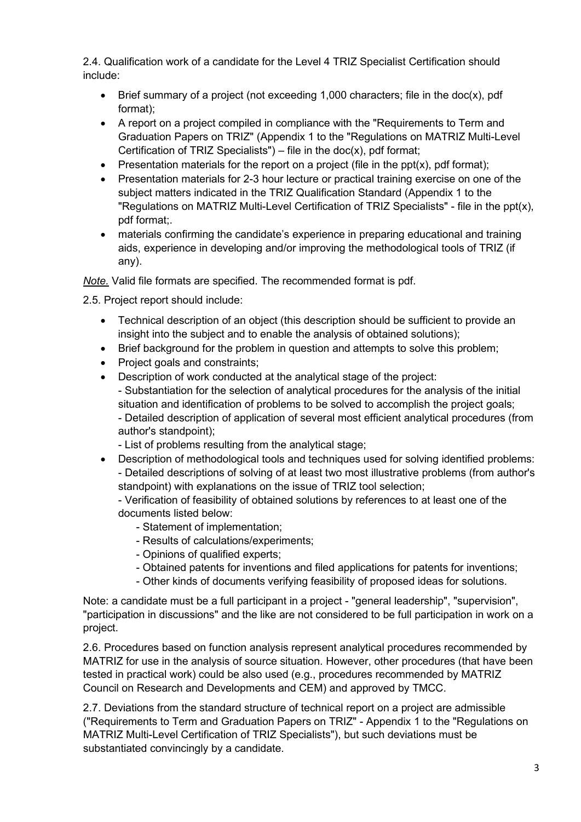2.4. Qualification work of a candidate for the Level 4 TRIZ Specialist Certification should include:

- Brief summary of a project (not exceeding 1,000 characters; file in the doc(x), pdf format);
- A report on a project compiled in compliance with the "Requirements to Term and Graduation Papers on TRIZ" (Appendix 1 to the "Regulations on MATRIZ Multi-Level Certification of TRIZ Specialists") – file in the doc $(x)$ , pdf format;
- Presentation materials for the report on a project (file in the  $ppt(x)$ , pdf format);
- Presentation materials for 2-3 hour lecture or practical training exercise on one of the subject matters indicated in the TRIZ Qualification Standard (Appendix 1 to the "Regulations on MATRIZ Multi-Level Certification of TRIZ Specialists" - file in the ppt(x), pdf format;.
- materials confirming the candidate's experience in preparing educational and training aids, experience in developing and/or improving the methodological tools of TRIZ (if any).

*Note.* Valid file formats are specified. The recommended format is pdf.

2.5. Project report should include:

- Technical description of an object (this description should be sufficient to provide an insight into the subject and to enable the analysis of obtained solutions);
- Brief background for the problem in question and attempts to solve this problem;
- Project goals and constraints;
- Description of work conducted at the analytical stage of the project: - Substantiation for the selection of analytical procedures for the analysis of the initial situation and identification of problems to be solved to accomplish the project goals;

- Detailed description of application of several most efficient analytical procedures (from author's standpoint);

- List of problems resulting from the analytical stage;
- Description of methodological tools and techniques used for solving identified problems: - Detailed descriptions of solving of at least two most illustrative problems (from author's standpoint) with explanations on the issue of TRIZ tool selection;

- Verification of feasibility of obtained solutions by references to at least one of the documents listed below:

- Statement of implementation;
- Results of calculations/experiments;
- Opinions of qualified experts;
- Obtained patents for inventions and filed applications for patents for inventions;
- Other kinds of documents verifying feasibility of proposed ideas for solutions.

Note: a candidate must be a full participant in a project - "general leadership", "supervision", "participation in discussions" and the like are not considered to be full participation in work on a project.

2.6. Procedures based on function analysis represent analytical procedures recommended by MATRIZ for use in the analysis of source situation. However, other procedures (that have been tested in practical work) could be also used (e.g., procedures recommended by MATRIZ Council on Research and Developments and CEM) and approved by TMCC.

2.7. Deviations from the standard structure of technical report on a project are admissible ("Requirements to Term and Graduation Papers on TRIZ" - Appendix 1 to the "Regulations on MATRIZ Multi-Level Certification of TRIZ Specialists"), but such deviations must be substantiated convincingly by a candidate.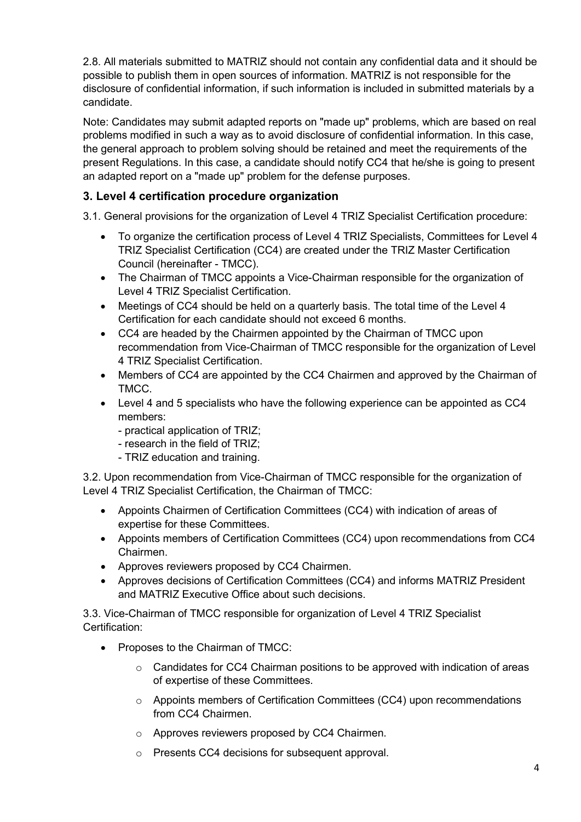2.8. All materials submitted to MATRIZ should not contain any confidential data and it should be possible to publish them in open sources of information. MATRIZ is not responsible for the disclosure of confidential information, if such information is included in submitted materials by a candidate.

Note: Candidates may submit adapted reports on "made up" problems, which are based on real problems modified in such a way as to avoid disclosure of confidential information. In this case, the general approach to problem solving should be retained and meet the requirements of the present Regulations. In this case, a candidate should notify CC4 that he/she is going to present an adapted report on a "made up" problem for the defense purposes.

## **3. Level 4 certification procedure organization**

3.1. General provisions for the organization of Level 4 TRIZ Specialist Certification procedure:

- To organize the certification process of Level 4 TRIZ Specialists, Committees for Level 4 TRIZ Specialist Certification (CC4) are created under the TRIZ Master Certification Council (hereinafter - TMCC).
- The Chairman of TMCC appoints a Vice-Chairman responsible for the organization of Level 4 TRIZ Specialist Certification.
- Meetings of CC4 should be held on a quarterly basis. The total time of the Level 4 Certification for each candidate should not exceed 6 months.
- CC4 are headed by the Chairmen appointed by the Chairman of TMCC upon recommendation from Vice-Chairman of TMCC responsible for the organization of Level 4 TRIZ Specialist Certification.
- Members of CC4 are appointed by the CC4 Chairmen and approved by the Chairman of TMCC.
- Level 4 and 5 specialists who have the following experience can be appointed as CC4 members:
	- practical application of TRIZ;
	- research in the field of TRIZ;
	- TRIZ education and training.

3.2. Upon recommendation from Vice-Chairman of TMCC responsible for the organization of Level 4 TRIZ Specialist Certification, the Chairman of TMCC:

- Appoints Chairmen of Certification Committees (CC4) with indication of areas of expertise for these Committees.
- Appoints members of Certification Committees (CC4) upon recommendations from CC4 Chairmen.
- Approves reviewers proposed by CC4 Chairmen.
- Approves decisions of Certification Committees (CC4) and informs MATRIZ President and MATRIZ Executive Office about such decisions.

3.3. Vice-Chairman of TMCC responsible for organization of Level 4 TRIZ Specialist Certification:

- Proposes to the Chairman of TMCC:
	- o Candidates for CC4 Chairman positions to be approved with indication of areas of expertise of these Committees.
	- o Appoints members of Certification Committees (CC4) upon recommendations from CC4 Chairmen.
	- o Approves reviewers proposed by CC4 Chairmen.
	- o Presents CC4 decisions for subsequent approval.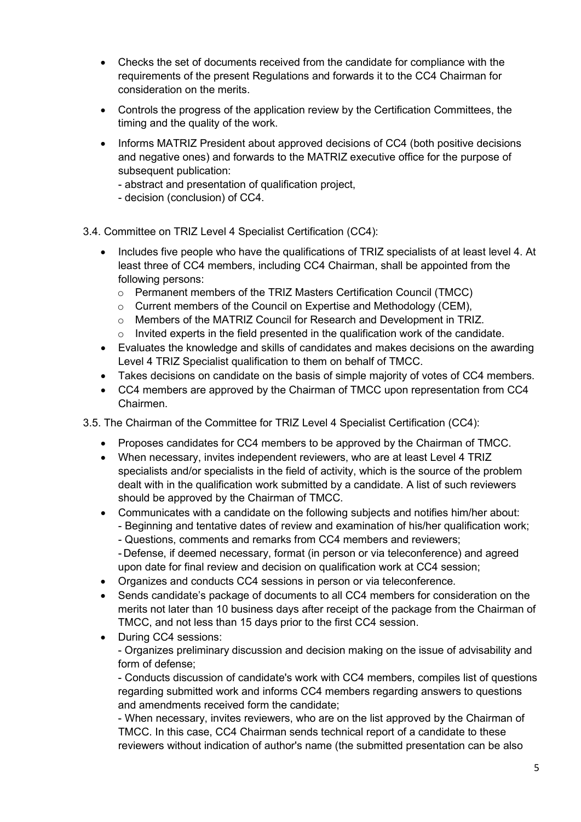- Checks the set of documents received from the candidate for compliance with the requirements of the present Regulations and forwards it to the CC4 Chairman for consideration on the merits.
- Controls the progress of the application review by the Certification Committees, the timing and the quality of the work.
- Informs MATRIZ President about approved decisions of CC4 (both positive decisions and negative ones) and forwards to the MATRIZ executive office for the purpose of subsequent publication:
	- abstract and presentation of qualification project,
	- decision (conclusion) of CC4.

3.4. Committee on TRIZ Level 4 Specialist Certification (CC4):

- Includes five people who have the qualifications of TRIZ specialists of at least level 4. At least three of CC4 members, including CC4 Chairman, shall be appointed from the following persons:
	- $\circ$  Permanent members of the TRIZ Masters Certification Council (TMCC)
	- o Current members of the Council on Expertise and Methodology (CEM),
	- o Members of the MATRIZ Council for Research and Development in TRIZ.
	- $\circ$  Invited experts in the field presented in the qualification work of the candidate.
- Evaluates the knowledge and skills of candidates and makes decisions on the awarding Level 4 TRIZ Specialist qualification to them on behalf of TMCC.
- Takes decisions on candidate on the basis of simple majority of votes of CC4 members.
- CC4 members are approved by the Chairman of TMCC upon representation from CC4 Chairmen.

3.5. The Chairman of the Committee for TRIZ Level 4 Specialist Certification (CC4):

- Proposes candidates for CC4 members to be approved by the Chairman of TMCC.
- When necessary, invites independent reviewers, who are at least Level 4 TRIZ specialists and/or specialists in the field of activity, which is the source of the problem dealt with in the qualification work submitted by a candidate. A list of such reviewers should be approved by the Chairman of TMCC.
- Communicates with a candidate on the following subjects and notifies him/her about: - Beginning and tentative dates of review and examination of his/her qualification work; - Questions, comments and remarks from CC4 members and reviewers; - Defense, if deemed necessary, format (in person or via teleconference) and agreed
- upon date for final review and decision on qualification work at CC4 session; • Organizes and conducts CC4 sessions in person or via teleconference.
- Sends candidate's package of documents to all CC4 members for consideration on the merits not later than 10 business days after receipt of the package from the Chairman of
	- TMCC, and not less than 15 days prior to the first CC4 session.
- During CC4 sessions:

- Organizes preliminary discussion and decision making on the issue of advisability and form of defense;

- Conducts discussion of candidate's work with CC4 members, compiles list of questions regarding submitted work and informs CC4 members regarding answers to questions and amendments received form the candidate;

- When necessary, invites reviewers, who are on the list approved by the Chairman of TMCC. In this case, CC4 Chairman sends technical report of a candidate to these reviewers without indication of author's name (the submitted presentation can be also